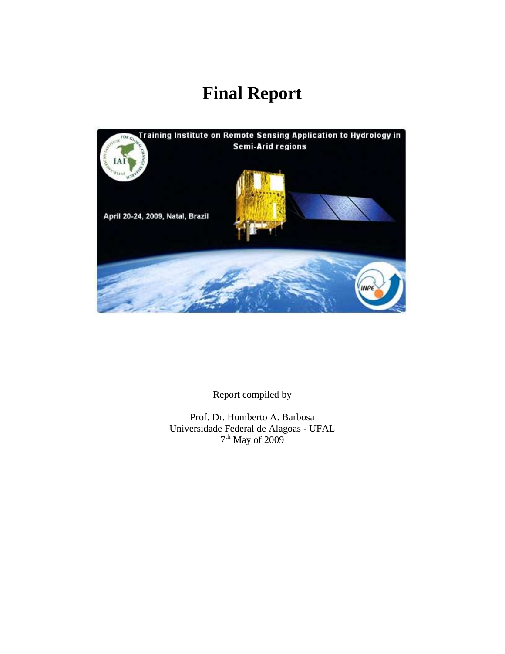# **Final Report**



Report compiled by

Prof. Dr. Humberto A. Barbosa Universidade Federal de Alagoas - UFAL 7<sup>th</sup> May of 2009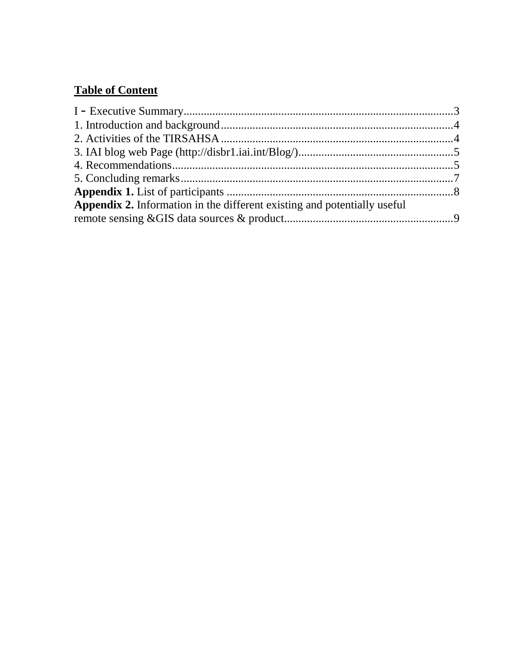# **Table of Content**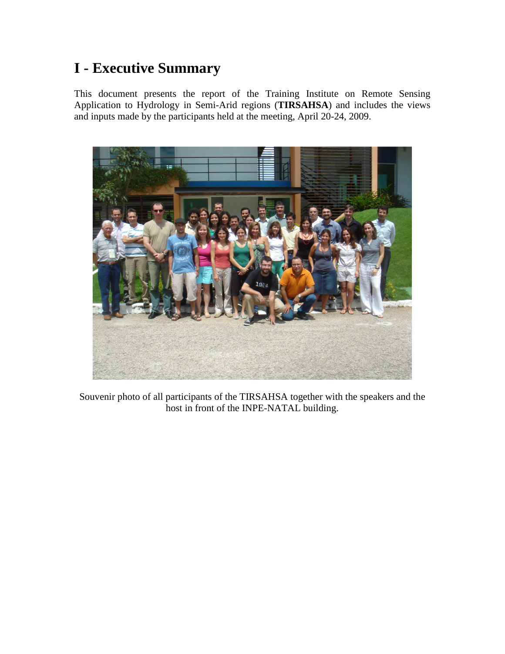# **I - Executive Summary**

This document presents the report of the Training Institute on Remote Sensing Application to Hydrology in Semi-Arid regions (**TIRSAHSA**) and includes the views and inputs made by the participants held at the meeting, April 20-24, 2009.



Souvenir photo of all participants of the TIRSAHSA together with the speakers and the host in front of the INPE-NATAL building.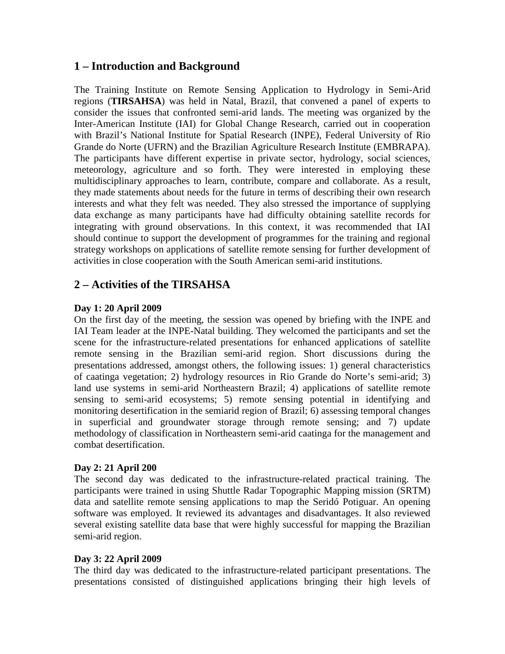#### **1 – Introduction and Background**

The Training Institute on Remote Sensing Application to Hydrology in Semi-Arid regions (**TIRSAHSA**) was held in Natal, Brazil, that convened a panel of experts to consider the issues that confronted semi-arid lands. The meeting was organized by the Inter-American Institute (IAI) for Global Change Research, carried out in cooperation with Brazil's National Institute for Spatial Research (INPE), Federal University of Rio Grande do Norte (UFRN) and the Brazilian Agriculture Research Institute (EMBRAPA). The participants have different expertise in private sector, hydrology, social sciences, meteorology, agriculture and so forth. They were interested in employing these multidisciplinary approaches to learn, contribute, compare and collaborate. As a result, they made statements about needs for the future in terms of describing their own research interests and what they felt was needed. They also stressed the importance of supplying data exchange as many participants have had difficulty obtaining satellite records for integrating with ground observations. In this context, it was recommended that IAI should continue to support the development of programmes for the training and regional strategy workshops on applications of satellite remote sensing for further development of activities in close cooperation with the South American semi-arid institutions.

# **2 – Activities of the TIRSAHSA**

#### **Day 1: 20 April 2009**

On the first day of the meeting, the session was opened by briefing with the INPE and IAI Team leader at the INPE-Natal building. They welcomed the participants and set the scene for the infrastructure-related presentations for enhanced applications of satellite remote sensing in the Brazilian semi-arid region. Short discussions during the presentations addressed, amongst others, the following issues: 1) general characteristics of caatinga vegetation; 2) hydrology resources in Rio Grande do Norte's semi-arid; 3) land use systems in semi-arid Northeastern Brazil; 4) applications of satellite remote sensing to semi-arid ecosystems; 5) remote sensing potential in identifying and monitoring desertification in the semiarid region of Brazil; 6) assessing temporal changes in superficial and groundwater storage through remote sensing; and 7) update methodology of classification in Northeastern semi-arid caatinga for the management and combat desertification.

#### **Day 2: 21 April 200**

The second day was dedicated to the infrastructure-related practical training. The participants were trained in using Shuttle Radar Topographic Mapping mission (SRTM) data and satellite remote sensing applications to map the Seridó Potiguar. An opening software was employed. It reviewed its advantages and disadvantages. It also reviewed several existing satellite data base that were highly successful for mapping the Brazilian semi-arid region.

#### **Day 3: 22 April 2009**

The third day was dedicated to the infrastructure-related participant presentations. The presentations consisted of distinguished applications bringing their high levels of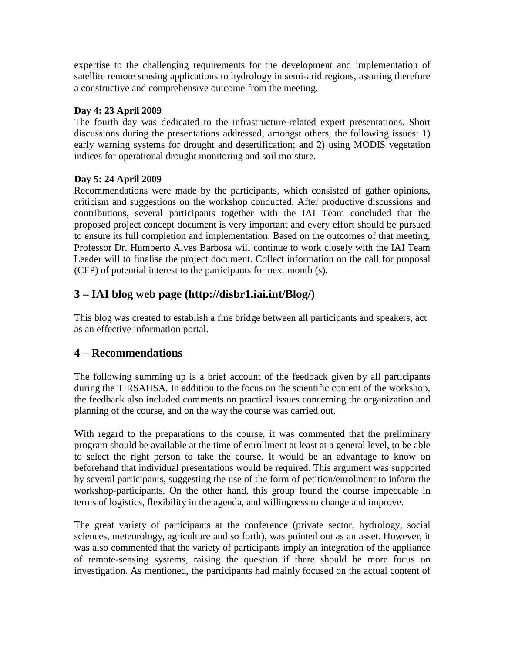expertise to the challenging requirements for the development and implementation of satellite remote sensing applications to hydrology in semi-arid regions, assuring therefore a constructive and comprehensive outcome from the meeting.

#### **Day 4: 23 April 2009**

The fourth day was dedicated to the infrastructure-related expert presentations. Short discussions during the presentations addressed, amongst others, the following issues: 1) early warning systems for drought and desertification; and 2) using MODIS vegetation indices for operational drought monitoring and soil moisture.

#### **Day 5: 24 April 2009**

Recommendations were made by the participants, which consisted of gather opinions, criticism and suggestions on the workshop conducted. After productive discussions and contributions, several participants together with the IAI Team concluded that the proposed project concept document is very important and every effort should be pursued to ensure its full completion and implementation. Based on the outcomes of that meeting, Professor Dr. Humberto Alves Barbosa will continue to work closely with the IAI Team Leader will to finalise the project document. Collect information on the call for proposal (CFP) of potential interest to the participants for next month (s).

# **3 – IAI blog web page (http://disbr1.iai.int/Blog/)**

This blog was created to establish a fine bridge between all participants and speakers, act as an effective information portal.

### **4 – Recommendations**

The following summing up is a brief account of the feedback given by all participants during the TIRSAHSA. In addition to the focus on the scientific content of the workshop, the feedback also included comments on practical issues concerning the organization and planning of the course, and on the way the course was carried out.

With regard to the preparations to the course, it was commented that the preliminary program should be available at the time of enrollment at least at a general level, to be able to select the right person to take the course. It would be an advantage to know on beforehand that individual presentations would be required. This argument was supported by several participants, suggesting the use of the form of petition/enrolment to inform the workshop-participants. On the other hand, this group found the course impeccable in terms of logistics, flexibility in the agenda, and willingness to change and improve.

The great variety of participants at the conference (private sector, hydrology, social sciences, meteorology, agriculture and so forth), was pointed out as an asset. However, it was also commented that the variety of participants imply an integration of the appliance of remote-sensing systems, raising the question if there should be more focus on investigation. As mentioned, the participants had mainly focused on the actual content of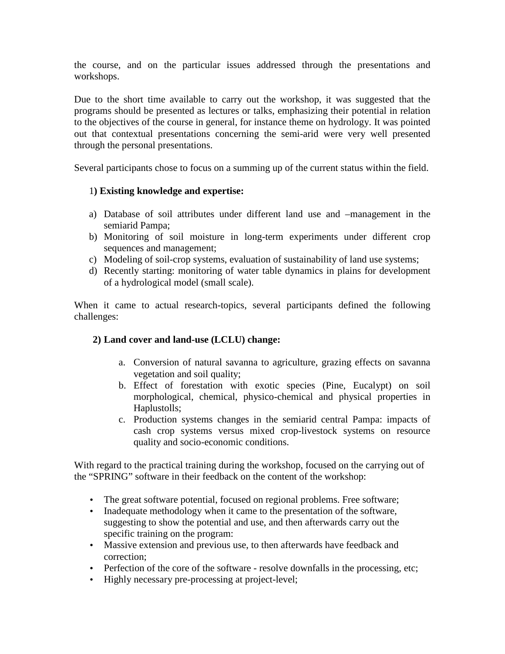the course, and on the particular issues addressed through the presentations and workshops.

Due to the short time available to carry out the workshop, it was suggested that the programs should be presented as lectures or talks, emphasizing their potential in relation to the objectives of the course in general, for instance theme on hydrology. It was pointed out that contextual presentations concerning the semi-arid were very well presented through the personal presentations.

Several participants chose to focus on a summing up of the current status within the field.

#### 1**) Existing knowledge and expertise:**

- a) Database of soil attributes under different land use and –management in the semiarid Pampa;
- b) Monitoring of soil moisture in long-term experiments under different crop sequences and management;
- c) Modeling of soil-crop systems, evaluation of sustainability of land use systems;
- d) Recently starting: monitoring of water table dynamics in plains for development of a hydrological model (small scale).

When it came to actual research-topics, several participants defined the following challenges:

#### **2) Land cover and land-use (LCLU) change:**

- a. Conversion of natural savanna to agriculture, grazing effects on savanna vegetation and soil quality;
- b. Effect of forestation with exotic species (Pine, Eucalypt) on soil morphological, chemical, physico-chemical and physical properties in Haplustolls;
- c. Production systems changes in the semiarid central Pampa: impacts of cash crop systems versus mixed crop-livestock systems on resource quality and socio-economic conditions.

With regard to the practical training during the workshop, focused on the carrying out of the "SPRING" software in their feedback on the content of the workshop:

- The great software potential, focused on regional problems. Free software;
- Inadequate methodology when it came to the presentation of the software, suggesting to show the potential and use, and then afterwards carry out the specific training on the program:
- Massive extension and previous use, to then afterwards have feedback and correction;
- Perfection of the core of the software resolve downfalls in the processing, etc;
- Highly necessary pre-processing at project-level;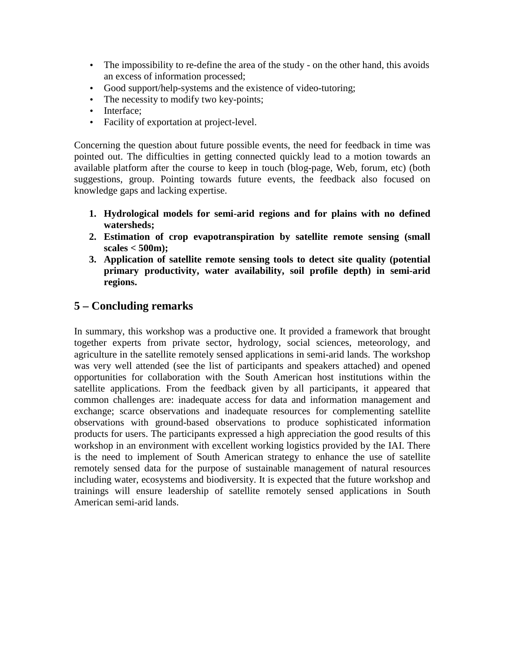- The impossibility to re-define the area of the study on the other hand, this avoids an excess of information processed;
- Good support/help-systems and the existence of video-tutoring;
- The necessity to modify two key-points;
- Interface:
- Facility of exportation at project-level.

Concerning the question about future possible events, the need for feedback in time was pointed out. The difficulties in getting connected quickly lead to a motion towards an available platform after the course to keep in touch (blog-page, Web, forum, etc) (both suggestions, group. Pointing towards future events, the feedback also focused on knowledge gaps and lacking expertise.

- **1. Hydrological models for semi-arid regions and for plains with no defined watersheds;**
- **2. Estimation of crop evapotranspiration by satellite remote sensing (small scales < 500m);**
- **3. Application of satellite remote sensing tools to detect site quality (potential primary productivity, water availability, soil profile depth) in semi-arid regions.**

# **5 – Concluding remarks**

In summary, this workshop was a productive one. It provided a framework that brought together experts from private sector, hydrology, social sciences, meteorology, and agriculture in the satellite remotely sensed applications in semi-arid lands. The workshop was very well attended (see the list of participants and speakers attached) and opened opportunities for collaboration with the South American host institutions within the satellite applications. From the feedback given by all participants, it appeared that common challenges are: inadequate access for data and information management and exchange; scarce observations and inadequate resources for complementing satellite observations with ground-based observations to produce sophisticated information products for users. The participants expressed a high appreciation the good results of this workshop in an environment with excellent working logistics provided by the IAI. There is the need to implement of South American strategy to enhance the use of satellite remotely sensed data for the purpose of sustainable management of natural resources including water, ecosystems and biodiversity. It is expected that the future workshop and trainings will ensure leadership of satellite remotely sensed applications in South American semi-arid lands.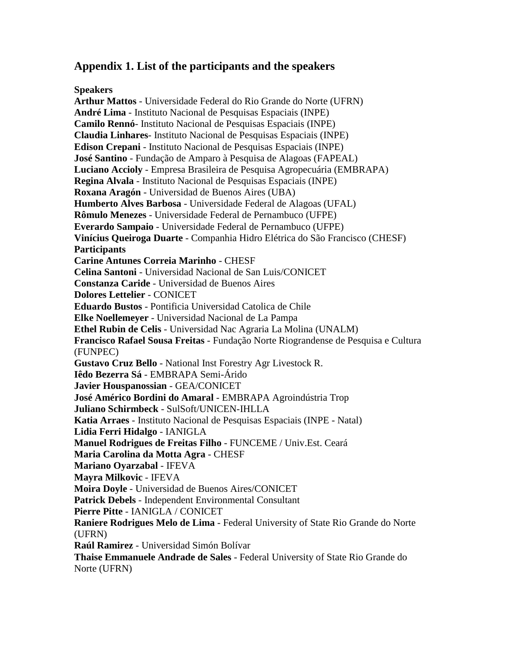#### **Appendix 1. List of the participants and the speakers**

**Speakers** 

**Arthur Mattos** - Universidade Federal do Rio Grande do Norte (UFRN) **André Lima** - Instituto Nacional de Pesquisas Espaciais (INPE) **Camilo Rennó**- Instituto Nacional de Pesquisas Espaciais (INPE) **Claudia Linhares**- Instituto Nacional de Pesquisas Espaciais (INPE) **Edison Crepani** - Instituto Nacional de Pesquisas Espaciais (INPE) **José Santino** - Fundação de Amparo à Pesquisa de Alagoas (FAPEAL) **Luciano Accioly** - Empresa Brasileira de Pesquisa Agropecuária (EMBRAPA) **Regina Alvala** - Instituto Nacional de Pesquisas Espaciais (INPE) **Roxana Aragón** - Universidad de Buenos Aires (UBA) **Humberto Alves Barbosa** - Universidade Federal de Alagoas (UFAL) **Rômulo Menezes** - Universidade Federal de Pernambuco (UFPE) **Everardo Sampaio** - Universidade Federal de Pernambuco (UFPE) **Vinícius Queiroga Duarte** - Companhia Hidro Elétrica do São Francisco (CHESF) **Participants Carine Antunes Correia Marinho** - CHESF **Celina Santoni** - Universidad Nacional de San Luis/CONICET **Constanza Caride** - Universidad de Buenos Aires **Dolores Lettelier** - CONICET **Eduardo Bustos** - Pontificia Universidad Catolica de Chile **Elke Noellemeyer** - Universidad Nacional de La Pampa **Ethel Rubin de Celis** - Universidad Nac Agraria La Molina (UNALM) **Francisco Rafael Sousa Freitas** - Fundação Norte Riograndense de Pesquisa e Cultura (FUNPEC) **Gustavo Cruz Bello** - National Inst Forestry Agr Livestock R. **Iêdo Bezerra Sá** - EMBRAPA Semi-Árido **Javier Houspanossian** - GEA/CONICET **José Américo Bordini do Amaral** - EMBRAPA Agroindústria Trop **Juliano Schirmbeck** - SulSoft/UNICEN-IHLLA **Katia Arraes** - Instituto Nacional de Pesquisas Espaciais (INPE - Natal) **Lidia Ferri Hidalgo** - IANIGLA **Manuel Rodrigues de Freitas Filho** - FUNCEME / Univ.Est. Ceará **Maria Carolina da Motta Agra** - CHESF **Mariano Oyarzabal** - IFEVA **Mayra Milkovic** - IFEVA **Moira Doyle** - Universidad de Buenos Aires/CONICET **Patrick Debels** - Independent Environmental Consultant **Pierre Pitte** - IANIGLA / CONICET **Raniere Rodrigues Melo de Lima** - Federal University of State Rio Grande do Norte (UFRN) **Raúl Ramirez** - Universidad Simón Bolívar **Thaise Emmanuele Andrade de Sales** - Federal University of State Rio Grande do Norte (UFRN)